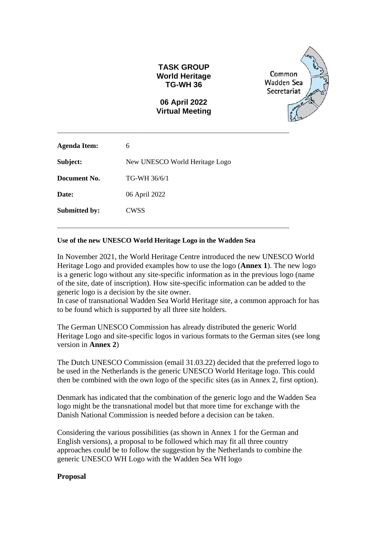### **TASK GROUP World Heritage TG-WH 36**

Common Wadden Sea Secretariat

### **06 April 2022 Virtual Meeting**

\_\_\_\_\_\_\_\_\_\_\_\_\_\_\_\_\_\_\_\_\_\_\_\_\_\_\_\_\_\_\_\_\_\_\_\_\_\_\_\_\_\_\_\_\_\_\_\_\_\_\_\_\_\_\_\_\_\_\_\_\_\_\_\_\_\_\_\_\_\_\_\_\_

\_\_\_\_\_\_\_\_\_\_\_\_\_\_\_\_\_\_\_\_\_\_\_\_\_\_\_\_\_\_\_\_\_\_\_\_\_\_\_\_\_\_\_\_\_\_\_\_\_\_\_\_\_\_\_\_\_\_\_\_\_\_\_\_\_\_\_\_\_\_\_\_\_

| <b>Agenda Item:</b>  | 6                              |
|----------------------|--------------------------------|
| Subject:             | New UNESCO World Heritage Logo |
| Document No.         | TG-WH 36/6/1                   |
| Date:                | 06 April 2022                  |
| <b>Submitted by:</b> | <b>CWSS</b>                    |
|                      |                                |

#### **Use of the new UNESCO World Heritage Logo in the Wadden Sea**

In November 2021, the World Heritage Centre introduced the new UNESCO World Heritage Logo and provided examples how to use the logo (**Annex 1**). The new logo is a generic logo without any site-specific information as in the previous logo (name of the site, date of inscription). How site-specific information can be added to the generic logo is a decision by the site owner.

In case of transnational Wadden Sea World Heritage site, a common approach for has to be found which is supported by all three site holders.

The German UNESCO Commission has already distributed the generic World Heritage Logo and site-specific logos in various formats to the German sites (see long version in **Annex 2**)

The Dutch UNESCO Commission (email 31.03.22) decided that the preferred logo to be used in the Netherlands is the generic UNESCO World Heritage logo. This could then be combined with the own logo of the specific sites (as in Annex 2, first option).

Denmark has indicated that the combination of the generic logo and the Wadden Sea logo might be the transnational model but that more time for exchange with the Danish National Commission is needed before a decision can be taken.

Considering the various possibilities (as shown in Annex 1 for the German and English versions), a proposal to be followed which may fit all three country approaches could be to follow the suggestion by the Netherlands to combine the generic UNESCO WH Logo with the Wadden Sea WH logo

#### **Proposal**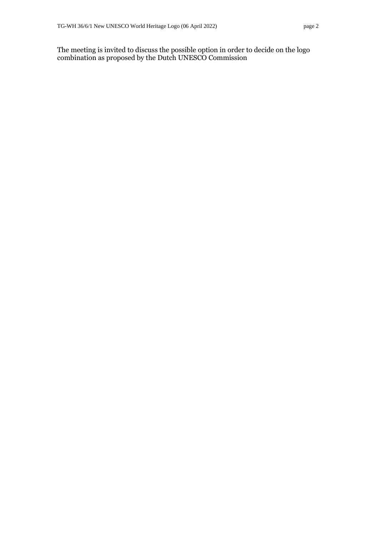The meeting is invited to discuss the possible option in order to decide on the logo combination as proposed by the Dutch UNESCO Commission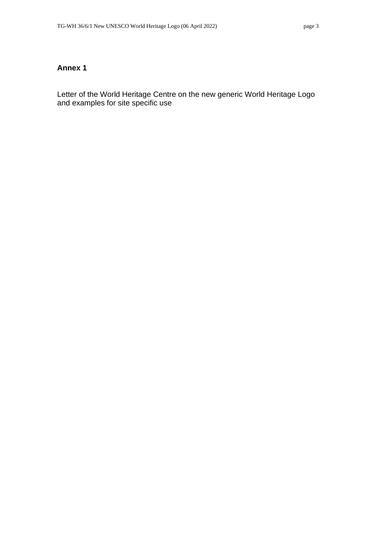## **Annex 1**

Letter of the World Heritage Centre on the new generic World Heritage Logo and examples for site specific use